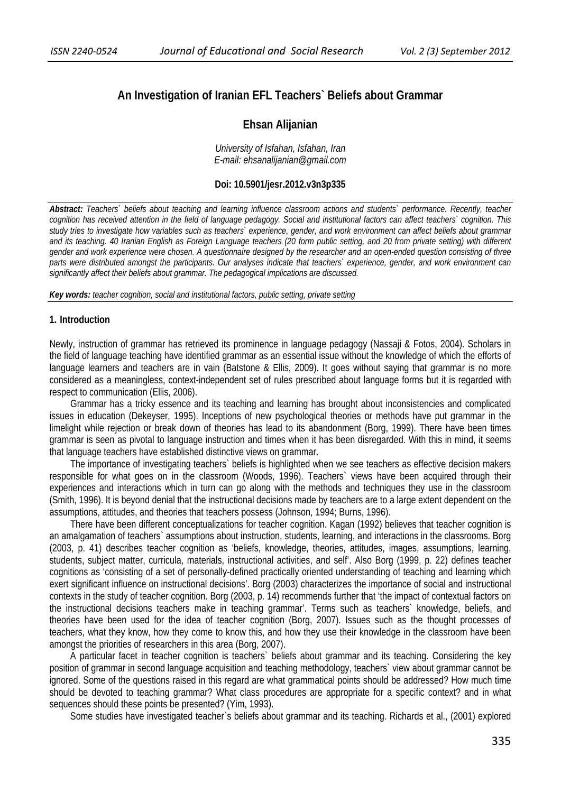# **An Investigation of Iranian EFL Teachers` Beliefs about Grammar**

## **Ehsan Alijanian**

*University of Isfahan, Isfahan, Iran E-mail: ehsanalijanian@gmail.com* 

#### **Doi: 10.5901/jesr.2012.v3n3p335**

*Abstract: Teachers` beliefs about teaching and learning influence classroom actions and students` performance. Recently, teacher cognition has received attention in the field of language pedagogy. Social and institutional factors can affect teachers` cognition. This study tries to investigate how variables such as teachers` experience, gender, and work environment can affect beliefs about grammar and its teaching. 40 Iranian English as Foreign Language teachers (20 form public setting, and 20 from private setting) with different gender and work experience were chosen. A questionnaire designed by the researcher and an open-ended question consisting of three parts were distributed amongst the participants. Our analyses indicate that teachers` experience, gender, and work environment can significantly affect their beliefs about grammar. The pedagogical implications are discussed.* 

*Key words: teacher cognition, social and institutional factors, public setting, private setting* 

#### **1. Introduction**

Newly, instruction of grammar has retrieved its prominence in language pedagogy (Nassaji & Fotos, 2004). Scholars in the field of language teaching have identified grammar as an essential issue without the knowledge of which the efforts of language learners and teachers are in vain (Batstone & Ellis, 2009). It goes without saying that grammar is no more considered as a meaningless, context-independent set of rules prescribed about language forms but it is regarded with respect to communication (Ellis, 2006).

Grammar has a tricky essence and its teaching and learning has brought about inconsistencies and complicated issues in education (Dekeyser, 1995). Inceptions of new psychological theories or methods have put grammar in the limelight while rejection or break down of theories has lead to its abandonment (Borg, 1999). There have been times grammar is seen as pivotal to language instruction and times when it has been disregarded. With this in mind, it seems that language teachers have established distinctive views on grammar.

The importance of investigating teachers` beliefs is highlighted when we see teachers as effective decision makers responsible for what goes on in the classroom (Woods, 1996). Teachers` views have been acquired through their experiences and interactions which in turn can go along with the methods and techniques they use in the classroom (Smith, 1996). It is beyond denial that the instructional decisions made by teachers are to a large extent dependent on the assumptions, attitudes, and theories that teachers possess (Johnson, 1994; Burns, 1996).

There have been different conceptualizations for teacher cognition. Kagan (1992) believes that teacher cognition is an amalgamation of teachers` assumptions about instruction, students, learning, and interactions in the classrooms. Borg (2003, p. 41) describes teacher cognition as 'beliefs, knowledge, theories, attitudes, images, assumptions, learning, students, subject matter, curricula, materials, instructional activities, and self'. Also Borg (1999, p. 22) defines teacher cognitions as 'consisting of a set of personally-defined practically oriented understanding of teaching and learning which exert significant influence on instructional decisions'. Borg (2003) characterizes the importance of social and instructional contexts in the study of teacher cognition. Borg (2003, p. 14) recommends further that 'the impact of contextual factors on the instructional decisions teachers make in teaching grammar'. Terms such as teachers` knowledge, beliefs, and theories have been used for the idea of teacher cognition (Borg, 2007). Issues such as the thought processes of teachers, what they know, how they come to know this, and how they use their knowledge in the classroom have been amongst the priorities of researchers in this area (Borg, 2007).

A particular facet in teacher cognition is teachers` beliefs about grammar and its teaching. Considering the key position of grammar in second language acquisition and teaching methodology, teachers` view about grammar cannot be ignored. Some of the questions raised in this regard are what grammatical points should be addressed? How much time should be devoted to teaching grammar? What class procedures are appropriate for a specific context? and in what sequences should these points be presented? (Yim, 1993).

Some studies have investigated teacher`s beliefs about grammar and its teaching. Richards et al., (2001) explored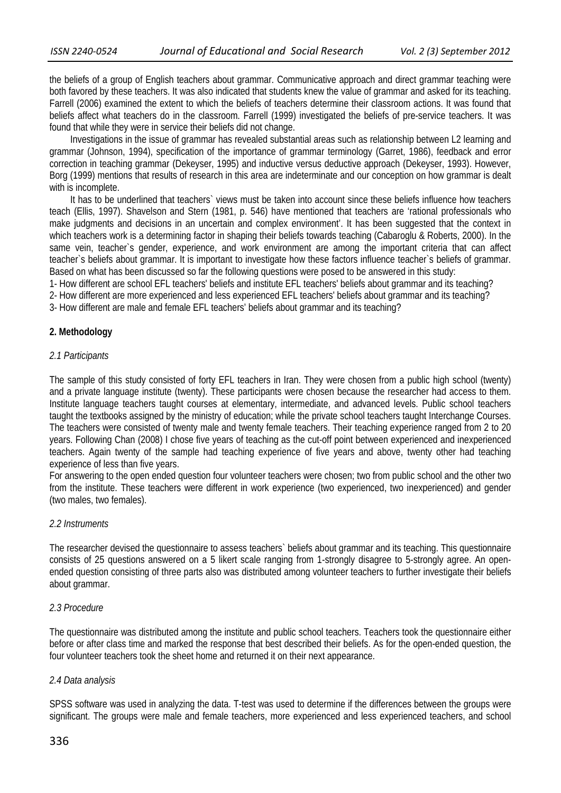the beliefs of a group of English teachers about grammar. Communicative approach and direct grammar teaching were both favored by these teachers. It was also indicated that students knew the value of grammar and asked for its teaching. Farrell (2006) examined the extent to which the beliefs of teachers determine their classroom actions. It was found that beliefs affect what teachers do in the classroom. Farrell (1999) investigated the beliefs of pre-service teachers. It was found that while they were in service their beliefs did not change.

Investigations in the issue of grammar has revealed substantial areas such as relationship between L2 learning and grammar (Johnson, 1994), specification of the importance of grammar terminology (Garret, 1986), feedback and error correction in teaching grammar (Dekeyser, 1995) and inductive versus deductive approach (Dekeyser, 1993). However, Borg (1999) mentions that results of research in this area are indeterminate and our conception on how grammar is dealt with is incomplete.

It has to be underlined that teachers` views must be taken into account since these beliefs influence how teachers teach (Ellis, 1997). Shavelson and Stern (1981, p. 546) have mentioned that teachers are 'rational professionals who make judgments and decisions in an uncertain and complex environment'. It has been suggested that the context in which teachers work is a determining factor in shaping their beliefs towards teaching (Cabaroglu & Roberts, 2000). In the same vein, teacher`s gender, experience, and work environment are among the important criteria that can affect teacher`s beliefs about grammar. It is important to investigate how these factors influence teacher`s beliefs of grammar. Based on what has been discussed so far the following questions were posed to be answered in this study:

1- How different are school EFL teachers' beliefs and institute EFL teachers' beliefs about grammar and its teaching?

2- How different are more experienced and less experienced EFL teachers' beliefs about grammar and its teaching?

3- How different are male and female EFL teachers' beliefs about grammar and its teaching?

## **2. Methodology**

## *2.1 Participants*

The sample of this study consisted of forty EFL teachers in Iran. They were chosen from a public high school (twenty) and a private language institute (twenty). These participants were chosen because the researcher had access to them. Institute language teachers taught courses at elementary, intermediate, and advanced levels. Public school teachers taught the textbooks assigned by the ministry of education; while the private school teachers taught Interchange Courses. The teachers were consisted of twenty male and twenty female teachers. Their teaching experience ranged from 2 to 20 years. Following Chan (2008) I chose five years of teaching as the cut-off point between experienced and inexperienced teachers. Again twenty of the sample had teaching experience of five years and above, twenty other had teaching experience of less than five years.

For answering to the open ended question four volunteer teachers were chosen; two from public school and the other two from the institute. These teachers were different in work experience (two experienced, two inexperienced) and gender (two males, two females).

## *2.2 Instruments*

The researcher devised the questionnaire to assess teachers` beliefs about grammar and its teaching. This questionnaire consists of 25 questions answered on a 5 likert scale ranging from 1-strongly disagree to 5-strongly agree. An openended question consisting of three parts also was distributed among volunteer teachers to further investigate their beliefs about grammar.

## *2.3 Procedure*

The questionnaire was distributed among the institute and public school teachers. Teachers took the questionnaire either before or after class time and marked the response that best described their beliefs. As for the open-ended question, the four volunteer teachers took the sheet home and returned it on their next appearance.

#### *2.4 Data analysis*

SPSS software was used in analyzing the data. T-test was used to determine if the differences between the groups were significant. The groups were male and female teachers, more experienced and less experienced teachers, and school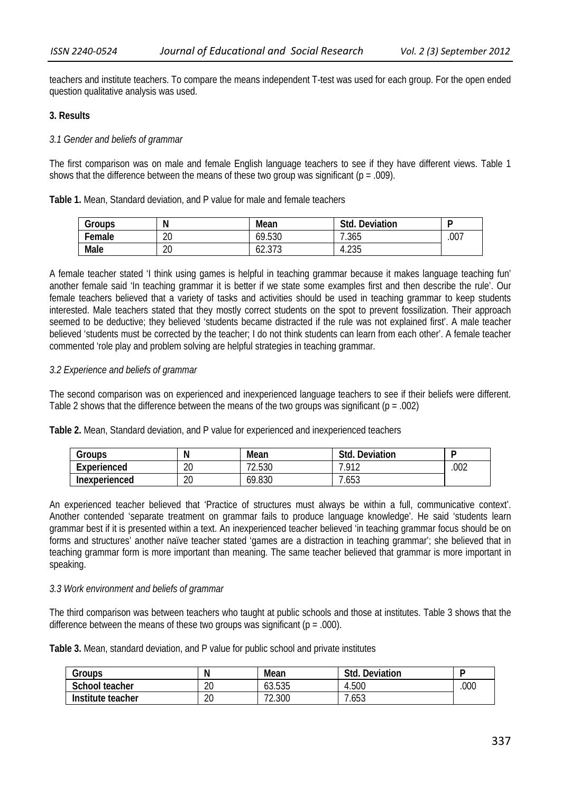teachers and institute teachers. To compare the means independent T-test was used for each group. For the open ended question qualitative analysis was used.

#### **3. Results**

#### *3.1 Gender and beliefs of grammar*

The first comparison was on male and female English language teachers to see if they have different views. Table 1 shows that the difference between the means of these two group was significant ( $p = .009$ ).

|  | Table 1. Mean, Standard deviation, and P value for male and female teachers |  |  |  |  |  |  |
|--|-----------------------------------------------------------------------------|--|--|--|--|--|--|
|--|-----------------------------------------------------------------------------|--|--|--|--|--|--|

| Groups | Ν  | Mean             | Std.<br>Deviation |      |
|--------|----|------------------|-------------------|------|
| Female | 20 | 69.530           | 7.365             | .007 |
| Male   | 20 | 10.272<br>02.JIJ | 4.235             |      |

A female teacher stated 'I think using games is helpful in teaching grammar because it makes language teaching fun' another female said 'In teaching grammar it is better if we state some examples first and then describe the rule'. Our female teachers believed that a variety of tasks and activities should be used in teaching grammar to keep students interested. Male teachers stated that they mostly correct students on the spot to prevent fossilization. Their approach seemed to be deductive; they believed 'students became distracted if the rule was not explained first'. A male teacher believed 'students must be corrected by the teacher; I do not think students can learn from each other'. A female teacher commented 'role play and problem solving are helpful strategies in teaching grammar.

#### *3.2 Experience and beliefs of grammar*

The second comparison was on experienced and inexperienced language teachers to see if their beliefs were different. Table 2 shows that the difference between the means of the two groups was significant ( $p = .002$ )

**Table 2.** Mean, Standard deviation, and P value for experienced and inexperienced teachers

| Groups               |          | Mean                  | Deviation<br>Std. | г    |
|----------------------|----------|-----------------------|-------------------|------|
| Experienced          | ገበ<br>۷J | . E OC<br>┐∩<br>Z.53U | 012               | .002 |
| <b>Inexperienced</b> | ገቦ<br>∠∪ | 69.830                | .653              |      |

An experienced teacher believed that 'Practice of structures must always be within a full, communicative context'. Another contended 'separate treatment on grammar fails to produce language knowledge'. He said 'students learn grammar best if it is presented within a text. An inexperienced teacher believed 'in teaching grammar focus should be on forms and structures' another naïve teacher stated 'games are a distraction in teaching grammar'; she believed that in teaching grammar form is more important than meaning. The same teacher believed that grammar is more important in speaking.

#### *3.3 Work environment and beliefs of grammar*

The third comparison was between teachers who taught at public schools and those at institutes. Table 3 shows that the difference between the means of these two groups was significant ( $p = .000$ ).

**Table 3.** Mean, standard deviation, and P value for public school and private institutes

| Groups            | N        | Mean   | Deviation<br>Std. |      |
|-------------------|----------|--------|-------------------|------|
| School teacher    | ገቦ<br>ZU | 63.535 | 4.500             | .000 |
| Institute teacher | 20       | 72.300 | 7.653             |      |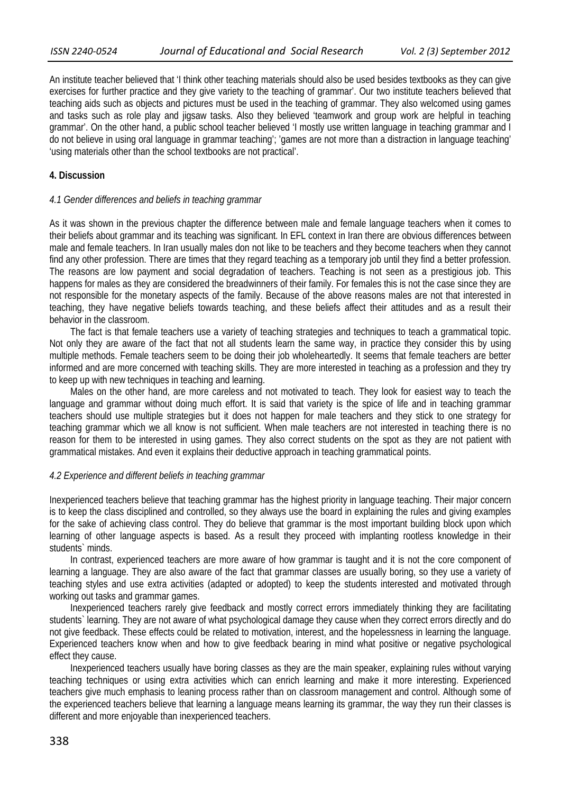An institute teacher believed that 'I think other teaching materials should also be used besides textbooks as they can give exercises for further practice and they give variety to the teaching of grammar'. Our two institute teachers believed that teaching aids such as objects and pictures must be used in the teaching of grammar. They also welcomed using games and tasks such as role play and jigsaw tasks. Also they believed 'teamwork and group work are helpful in teaching grammar'. On the other hand, a public school teacher believed 'I mostly use written language in teaching grammar and I do not believe in using oral language in grammar teaching'; 'games are not more than a distraction in language teaching' 'using materials other than the school textbooks are not practical'.

#### **4. Discussion**

#### *4.1 Gender differences and beliefs in teaching grammar*

As it was shown in the previous chapter the difference between male and female language teachers when it comes to their beliefs about grammar and its teaching was significant. In EFL context in Iran there are obvious differences between male and female teachers. In Iran usually males don not like to be teachers and they become teachers when they cannot find any other profession. There are times that they regard teaching as a temporary job until they find a better profession. The reasons are low payment and social degradation of teachers. Teaching is not seen as a prestigious job. This happens for males as they are considered the breadwinners of their family. For females this is not the case since they are not responsible for the monetary aspects of the family. Because of the above reasons males are not that interested in teaching, they have negative beliefs towards teaching, and these beliefs affect their attitudes and as a result their behavior in the classroom.

The fact is that female teachers use a variety of teaching strategies and techniques to teach a grammatical topic. Not only they are aware of the fact that not all students learn the same way, in practice they consider this by using multiple methods. Female teachers seem to be doing their job wholeheartedly. It seems that female teachers are better informed and are more concerned with teaching skills. They are more interested in teaching as a profession and they try to keep up with new techniques in teaching and learning.

Males on the other hand, are more careless and not motivated to teach. They look for easiest way to teach the language and grammar without doing much effort. It is said that variety is the spice of life and in teaching grammar teachers should use multiple strategies but it does not happen for male teachers and they stick to one strategy for teaching grammar which we all know is not sufficient. When male teachers are not interested in teaching there is no reason for them to be interested in using games. They also correct students on the spot as they are not patient with grammatical mistakes. And even it explains their deductive approach in teaching grammatical points.

#### *4.2 Experience and different beliefs in teaching grammar*

Inexperienced teachers believe that teaching grammar has the highest priority in language teaching. Their major concern is to keep the class disciplined and controlled, so they always use the board in explaining the rules and giving examples for the sake of achieving class control. They do believe that grammar is the most important building block upon which learning of other language aspects is based. As a result they proceed with implanting rootless knowledge in their students` minds.

In contrast, experienced teachers are more aware of how grammar is taught and it is not the core component of learning a language. They are also aware of the fact that grammar classes are usually boring, so they use a variety of teaching styles and use extra activities (adapted or adopted) to keep the students interested and motivated through working out tasks and grammar games.

Inexperienced teachers rarely give feedback and mostly correct errors immediately thinking they are facilitating students` learning. They are not aware of what psychological damage they cause when they correct errors directly and do not give feedback. These effects could be related to motivation, interest, and the hopelessness in learning the language. Experienced teachers know when and how to give feedback bearing in mind what positive or negative psychological effect they cause.

Inexperienced teachers usually have boring classes as they are the main speaker, explaining rules without varying teaching techniques or using extra activities which can enrich learning and make it more interesting. Experienced teachers give much emphasis to leaning process rather than on classroom management and control. Although some of the experienced teachers believe that learning a language means learning its grammar, the way they run their classes is different and more enjoyable than inexperienced teachers.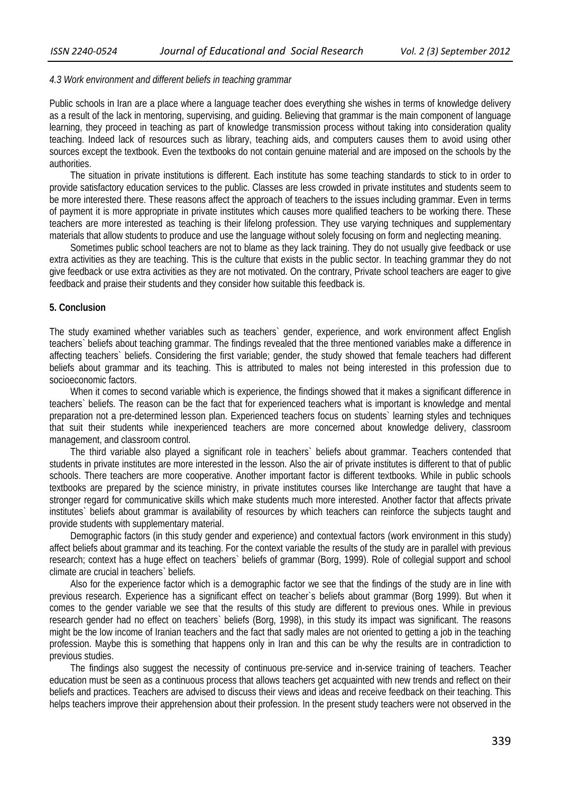#### *4.3 Work environment and different beliefs in teaching grammar*

Public schools in Iran are a place where a language teacher does everything she wishes in terms of knowledge delivery as a result of the lack in mentoring, supervising, and guiding. Believing that grammar is the main component of language learning, they proceed in teaching as part of knowledge transmission process without taking into consideration quality teaching. Indeed lack of resources such as library, teaching aids, and computers causes them to avoid using other sources except the textbook. Even the textbooks do not contain genuine material and are imposed on the schools by the authorities.

The situation in private institutions is different. Each institute has some teaching standards to stick to in order to provide satisfactory education services to the public. Classes are less crowded in private institutes and students seem to be more interested there. These reasons affect the approach of teachers to the issues including grammar. Even in terms of payment it is more appropriate in private institutes which causes more qualified teachers to be working there. These teachers are more interested as teaching is their lifelong profession. They use varying techniques and supplementary materials that allow students to produce and use the language without solely focusing on form and neglecting meaning.

Sometimes public school teachers are not to blame as they lack training. They do not usually give feedback or use extra activities as they are teaching. This is the culture that exists in the public sector. In teaching grammar they do not give feedback or use extra activities as they are not motivated. On the contrary, Private school teachers are eager to give feedback and praise their students and they consider how suitable this feedback is.

#### **5. Conclusion**

The study examined whether variables such as teachers` gender, experience, and work environment affect English teachers` beliefs about teaching grammar. The findings revealed that the three mentioned variables make a difference in affecting teachers` beliefs. Considering the first variable; gender, the study showed that female teachers had different beliefs about grammar and its teaching. This is attributed to males not being interested in this profession due to socioeconomic factors.

 When it comes to second variable which is experience, the findings showed that it makes a significant difference in teachers` beliefs. The reason can be the fact that for experienced teachers what is important is knowledge and mental preparation not a pre-determined lesson plan. Experienced teachers focus on students` learning styles and techniques that suit their students while inexperienced teachers are more concerned about knowledge delivery, classroom management, and classroom control.

 The third variable also played a significant role in teachers` beliefs about grammar. Teachers contended that students in private institutes are more interested in the lesson. Also the air of private institutes is different to that of public schools. There teachers are more cooperative. Another important factor is different textbooks. While in public schools textbooks are prepared by the science ministry, in private institutes courses like Interchange are taught that have a stronger regard for communicative skills which make students much more interested. Another factor that affects private institutes` beliefs about grammar is availability of resources by which teachers can reinforce the subjects taught and provide students with supplementary material.

 Demographic factors (in this study gender and experience) and contextual factors (work environment in this study) affect beliefs about grammar and its teaching. For the context variable the results of the study are in parallel with previous research; context has a huge effect on teachers` beliefs of grammar (Borg, 1999). Role of collegial support and school climate are crucial in teachers` beliefs.

 Also for the experience factor which is a demographic factor we see that the findings of the study are in line with previous research. Experience has a significant effect on teacher`s beliefs about grammar (Borg 1999). But when it comes to the gender variable we see that the results of this study are different to previous ones. While in previous research gender had no effect on teachers` beliefs (Borg, 1998), in this study its impact was significant. The reasons might be the low income of Iranian teachers and the fact that sadly males are not oriented to getting a job in the teaching profession. Maybe this is something that happens only in Iran and this can be why the results are in contradiction to previous studies.

 The findings also suggest the necessity of continuous pre-service and in-service training of teachers. Teacher education must be seen as a continuous process that allows teachers get acquainted with new trends and reflect on their beliefs and practices. Teachers are advised to discuss their views and ideas and receive feedback on their teaching. This helps teachers improve their apprehension about their profession. In the present study teachers were not observed in the